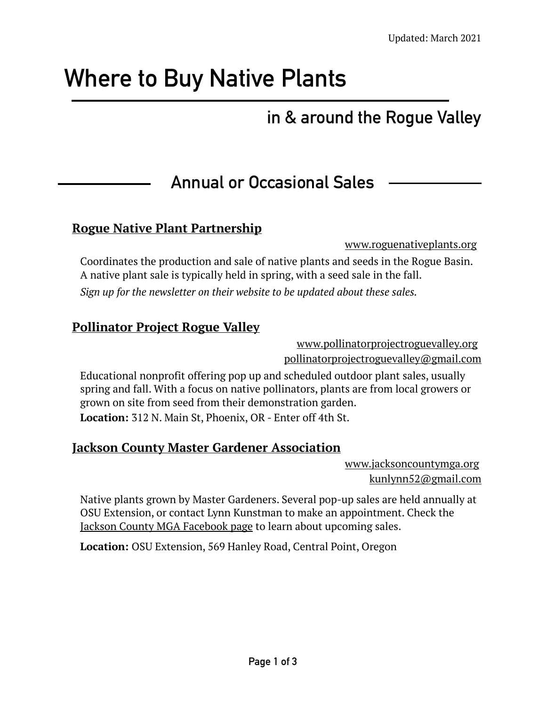# **Where to Buy Native Plants**

# **in & around the Rogue Valley**

# **Annual or Occasional Sales**

#### **Rogue Native Plant Partnership**

[www.roguenativeplants.org](https://www.roguenativeplants.org/)

Coordinates the production and sale of native plants and seeds in the Rogue Basin. A native plant sale is typically held in spring, with a seed sale in the fall. *Sign up for the newsletter on their website to be updated about these sales.* 

#### **Pollinator Project Rogue Valley**

[www.pollinatorprojectroguevalley.org](https://www.pollinatorprojectroguevalley.org/) pollinatorprojectroguevalley@gmail.com

Educational nonprofit offering pop up and scheduled outdoor plant sales, usually spring and fall. With a focus on native pollinators, plants are from local growers or grown on site from seed from their demonstration garden. **Location:** 312 N. Main St, Phoenix, OR - Enter off 4th St.

#### **Jackson County Master Gardener Association**

[www.jacksoncountymga.org](http://www.jacksoncountymga.org) kunlynn52@gmail.com

Native plants grown by Master Gardeners. Several pop-up sales are held annually at OSU Extension, or contact Lynn Kunstman to make an appointment. Check the [Jackson County MGA Facebook page](https://www.facebook.com/JCMGAOR/) to learn about upcoming sales.

**Location:** OSU Extension, 569 Hanley Road, Central Point, Oregon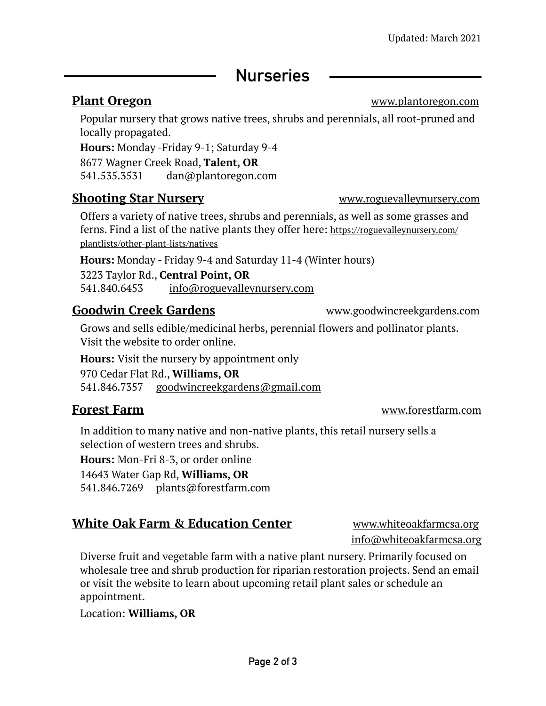# **Nurseries**

**Plant Oregon** [www.plantoregon.com](http://www.plantoregon.com)

Popular nursery that grows native trees, shrubs and perennials, all root-pruned and locally propagated.

**Hours:** Monday -Friday 9-1; Saturday 9-4

8677 Wagner Creek Road, **Talent, OR**

541.535.3531 dan@plantoregon.com

#### **Shooting Star Nursery [www.roguevalleynursery.com](http://www.roguevalleynursery.com)**

Offers a variety of native trees, shrubs and perennials, as well as some grasses and ferns. Find a list of the native plants they offer here: [https://roguevalleynursery.com/](https://roguevalleynursery.com/plantlists/other-plant-lists/natives) [plantlists/other-plant-lists/natives](https://roguevalleynursery.com/plantlists/other-plant-lists/natives)

**Hours:** Monday - Friday 9-4 and Saturday 11-4 (Winter hours)

3223 Taylor Rd., **Central Point, OR** 541.840.6453 [info@roguevalleynursery.com](mailto:info@roguevalleynursery.com)

### **Goodwin Creek Gardens WAGGIT WAGGITE WAGGITE WAGGITE CONGREGATE CONGREGATE OF SCHOOL OF SCHOOL OF SCHOOL OF SCHOOL OF SCHOOL OF SCHOOL OF SCHOOL OF SCHOOL OF SCHOOL OF SCHOOL OF SCHOOL OF SCHOOL OF SCHOOL OF SCHOOL OF S**

Grows and sells edible/medicinal herbs, perennial flowers and pollinator plants. Visit the website to order online.

**Hours:** Visit the nursery by appointment only

970 Cedar Flat Rd., **Williams, OR**  541.846.7357 [goodwincreekgardens@gmail.com](mailto:goodwincreekgardens@gmail.com)

#### **Forest Farm** [www.forestfarm.com](https://www.forestfarm.com/)

In addition to many native and non-native plants, this retail nursery sells a selection of western trees and shrubs.

**Hours:** Mon-Fri 8-3, or order online

14643 Water Gap Rd, **Williams, OR** 

541.846.7269 [plants@forestfarm.com](mailto:plants@forestfarm.com)

### **White Oak Farm & Education Center** www.whiteoakfarmcsa.org

[info@whiteoakfarmcsa.org](mailto:info@whiteoakfarmcsa.org)

Diverse fruit and vegetable farm with a native plant nursery. Primarily focused on wholesale tree and shrub production for riparian restoration projects. Send an email or visit the website to learn about upcoming retail plant sales or schedule an appointment.

Location: **Williams, OR**